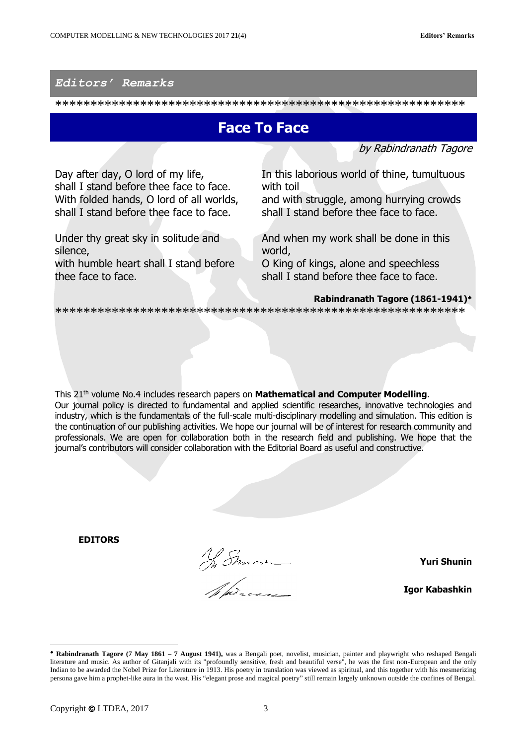## *Editors' Remarks*

\*\*\*\*\*\*\*\*\*\*\*\*\*\*\*\*\*\*\*\*\*\*\*\*\*\*\*\*\*\*\*\*\*\*\*\*\*\*\*\*\*\*\*\*\*\*\*\*\*\*\*\*\*\*\*\*\*\*

## **Face To Face**

by Rabindranath Tagore

Day after day, O lord of my life, shall I stand before thee face to face. With folded hands, O lord of all worlds, shall I stand before thee face to face.

Under thy great sky in solitude and silence, with humble heart shall I stand before thee face to face.

In this laborious world of thine, tumultuous with toil and with struggle, among hurrying crowds shall I stand before thee face to face.

And when my work shall be done in this world,

O King of kings, alone and speechless shall I stand before thee face to face.

## **Rabindranath Tagore (1861-1941)**

\*\*\*\*\*\*\*\*\*\*\*\*\*\*\*\*\*\*\*\*\*\*\*\*\*\*\*\*\*\*\*\*\*\*\*\*\*\*\*\*\*\*\*\*\*\*\*\*\*\*\*\*\*\*\*\*\*\*

This 21th volume No.4 includes research papers on **Mathematical and Computer Modelling**. Our journal policy is directed to fundamental and applied scientific researches, innovative technologies and industry, which is the fundamentals of the full-scale multi-disciplinary modelling and simulation. This edition is the continuation of our publishing activities. We hope our journal will be of interest for research community and professionals. We are open for collaboration both in the research field and publishing. We hope that the journal's contributors will consider collaboration with the Editorial Board as useful and constructive.

**EDITORS**

Ny Sman $-$ 

**Yuri Shunin**

**Igor Kabashkin**

 $\overline{a}$ 

**Rabindranath Tagore (7 May 1861 – 7 August 1941),** was a Bengali poet, novelist, musician, painter and playwright who reshaped Bengali literature and music. As author of Gitanjali with its "profoundly sensitive, fresh and beautiful verse", he was the first non-European and the only Indian to be awarded the Nobel Prize for Literature in 1913. His poetry in translation was viewed as spiritual, and this together with his mesmerizing persona gave him a prophet-like aura in the west. His "elegant prose and magical poetry" still remain largely unknown outside the confines of Bengal.